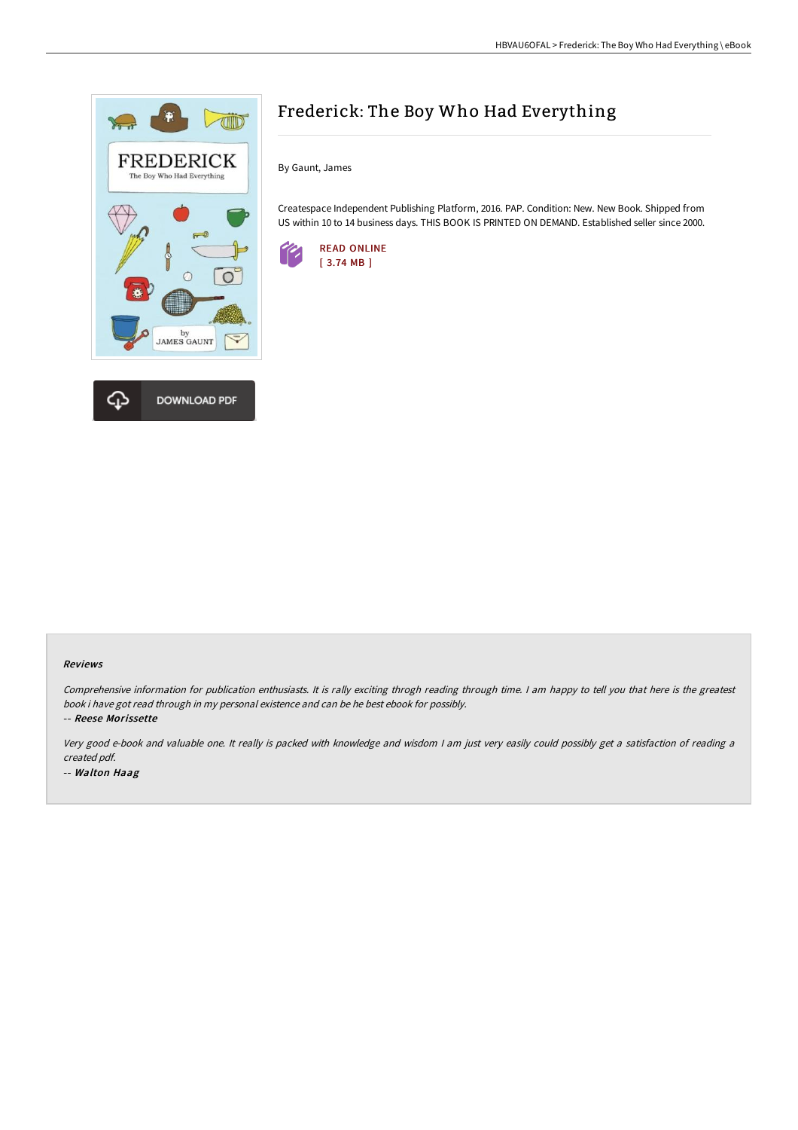

# Frederick: The Boy Who Had Everything

By Gaunt, James

Createspace Independent Publishing Platform, 2016. PAP. Condition: New. New Book. Shipped from US within 10 to 14 business days. THIS BOOK IS PRINTED ON DEMAND. Established seller since 2000.



#### Reviews

Comprehensive information for publication enthusiasts. It is rally exciting throgh reading through time. I am happy to tell you that here is the greatest book i have got read through in my personal existence and can be he best ebook for possibly.

-- Reese Morissette

Very good e-book and valuable one. It really is packed with knowledge and wisdom <sup>I</sup> am just very easily could possibly get <sup>a</sup> satisfaction of reading <sup>a</sup> created pdf. -- Walton Haag